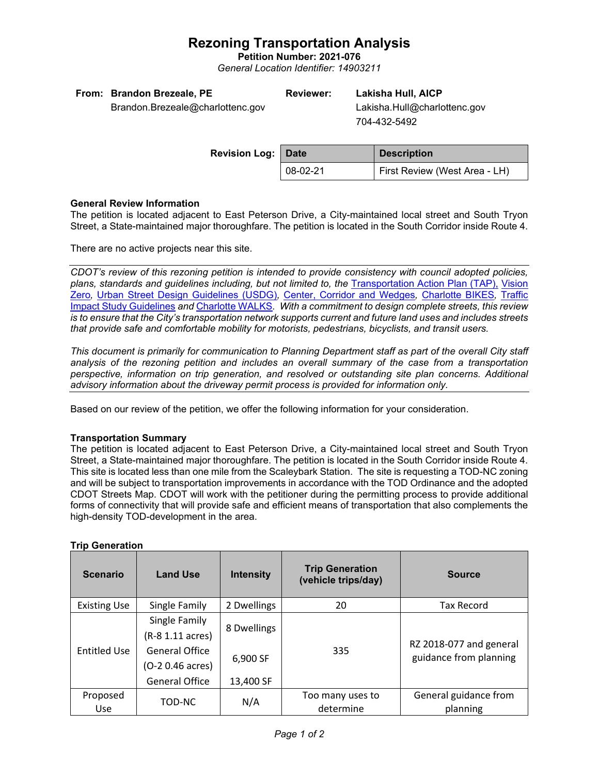# **Rezoning Transportation Analysis**

**Petition Number: 2021-076** *General Location Identifier: 14903211*

| From: Brandon Brezeale, PE       | <b>Reviewer:</b> | Lakisha Hull, AICP           |
|----------------------------------|------------------|------------------------------|
| Brandon.Brezeale@charlottenc.gov |                  | Lakisha.Hull@charlottenc.gov |

704-432-5492

| <b>Revision Log:   Date</b> |          | <b>Description</b>            |
|-----------------------------|----------|-------------------------------|
|                             | 08-02-21 | First Review (West Area - LH) |

## **General Review Information**

The petition is located adjacent to East Peterson Drive, a City-maintained local street and South Tryon Street, a State-maintained major thoroughfare. The petition is located in the South Corridor inside Route 4.

There are no active projects near this site.

*CDOT's review of this rezoning petition is intended to provide consistency with council adopted policies, plans, standards and guidelines including, but not limited to, the* [Transportation Action Plan \(TAP\),](https://charlottenc.gov/Transportation/Programs/Pages/TransportationActionPlan.aspx) [Vision](https://charlottenc.gov/VisionZero/Pages/VisionZero.aspx)  [Zero](https://charlottenc.gov/VisionZero/Pages/VisionZero.aspx)*,* [Urban Street Design Guidelines \(USDG\)](https://charlottenc.gov/Transportation/PlansProjects/Documents/USDG%20Full%20Document.pdf)*,* [Center, Corridor and](http://ww.charmeck.org/Planning/Land%20Use%20Planning/CentersCorridorsWedges/CentersCorridorsWedges(Adopted).pdf) Wedges*,* [Charlotte BIKES](https://charlottenc.gov/Transportation/Programs/Pages/Bicycle.aspx)*,* [Traffic](https://charlottenc.gov/Transportation/Permits/Documents/TISProcessandGuildlines.pdf)  [Impact Study Guidelines](https://charlottenc.gov/Transportation/Permits/Documents/TISProcessandGuildlines.pdf) *and* [Charlotte WALKS](https://charlottenc.gov/Transportation/Programs/Pages/CharlotteWalks.aspx)*. With a commitment to design complete streets, this review is to ensure that the City's transportation network supports current and future land uses and includes streets that provide safe and comfortable mobility for motorists, pedestrians, bicyclists, and transit users.*

*This document is primarily for communication to Planning Department staff as part of the overall City staff analysis of the rezoning petition and includes an overall summary of the case from a transportation perspective, information on trip generation, and resolved or outstanding site plan concerns. Additional advisory information about the driveway permit process is provided for information only.*

Based on our review of the petition, we offer the following information for your consideration.

## **Transportation Summary**

The petition is located adjacent to East Peterson Drive, a City-maintained local street and South Tryon Street, a State-maintained major thoroughfare. The petition is located in the South Corridor inside Route 4. This site is located less than one mile from the Scaleybark Station. The site is requesting a TOD-NC zoning and will be subject to transportation improvements in accordance with the TOD Ordinance and the adopted CDOT Streets Map. CDOT will work with the petitioner during the permitting process to provide additional forms of connectivity that will provide safe and efficient means of transportation that also complements the high-density TOD-development in the area.

| <b>Scenario</b>        | <b>Land Use</b>                                                                                         | <b>Intensity</b>                     | <b>Trip Generation</b><br>(vehicle trips/day) | <b>Source</b>                                     |
|------------------------|---------------------------------------------------------------------------------------------------------|--------------------------------------|-----------------------------------------------|---------------------------------------------------|
| <b>Existing Use</b>    | Single Family                                                                                           | 2 Dwellings                          | 20                                            | <b>Tax Record</b>                                 |
| <b>Entitled Use</b>    | Single Family<br>(R-8 1.11 acres)<br><b>General Office</b><br>(O-2 0.46 acres)<br><b>General Office</b> | 8 Dwellings<br>6,900 SF<br>13,400 SF | 335                                           | RZ 2018-077 and general<br>guidance from planning |
| Proposed<br><b>Use</b> | TOD-NC                                                                                                  | N/A                                  | Too many uses to<br>determine                 | General guidance from<br>planning                 |

# **Trip Generation**